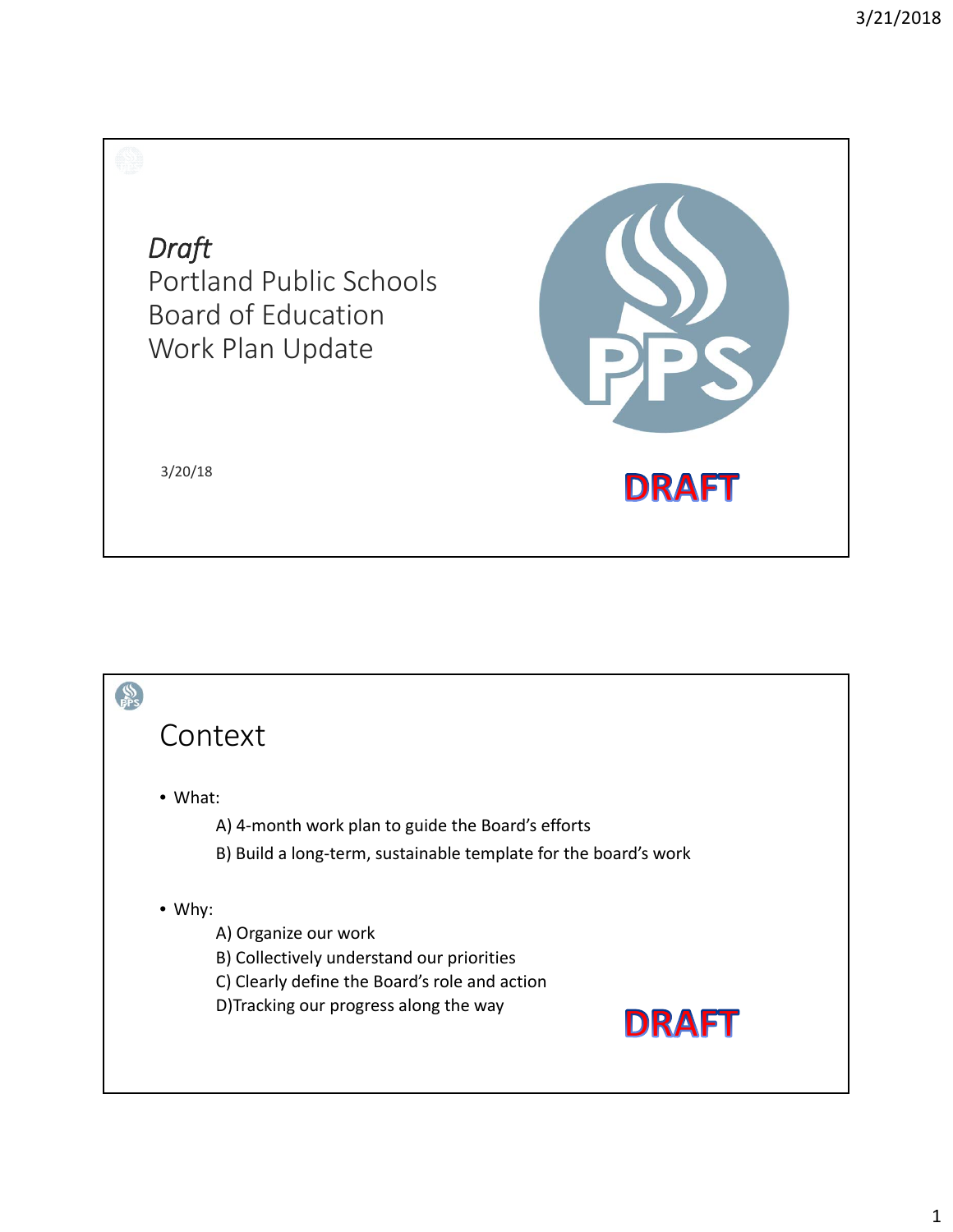*Draft*  Portland Public Schools Board of Education Work Plan Update



3/20/18

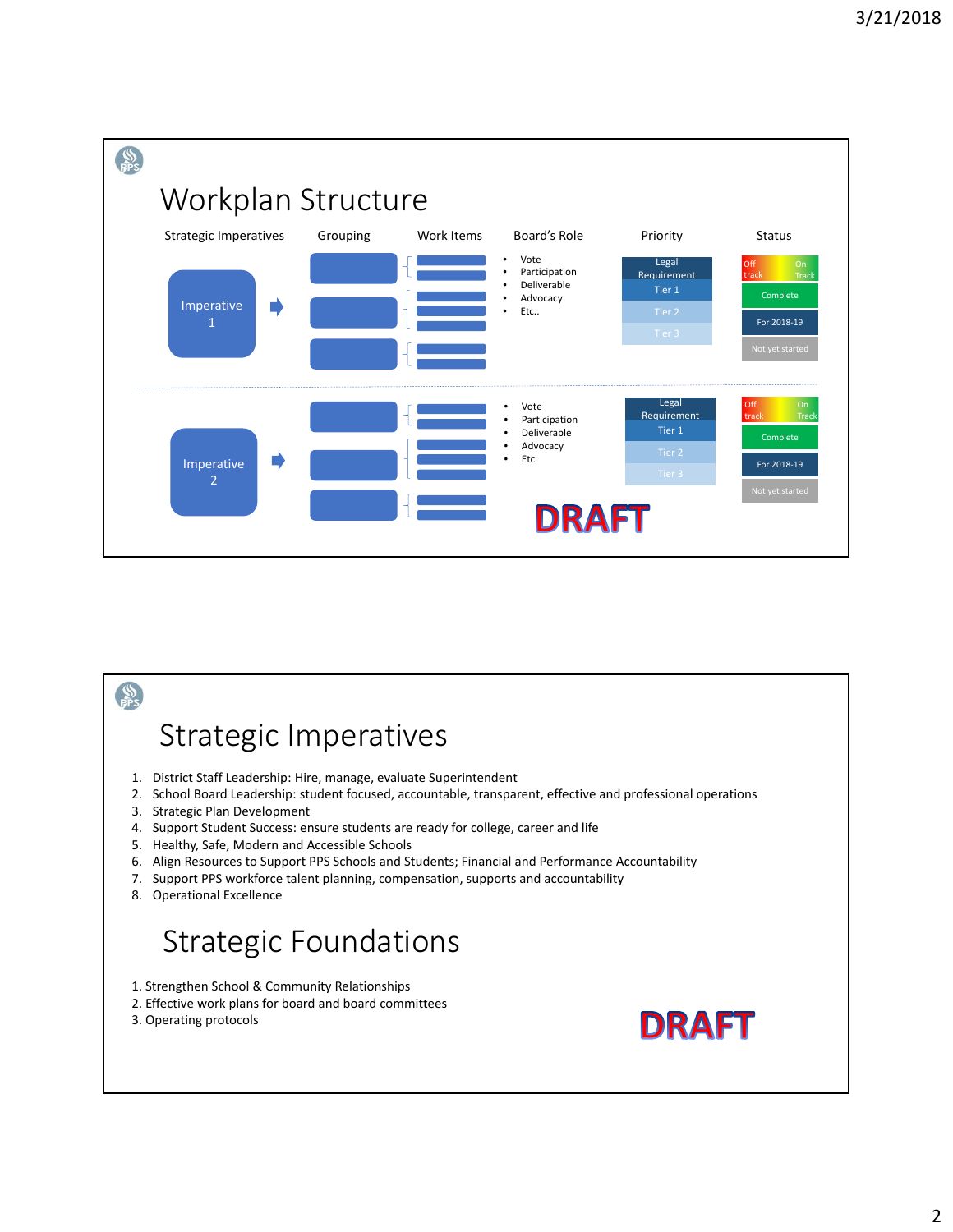

## $\frac{1}{100}$ Strategic Imperatives 1. District Staff Leadership: Hire, manage, evaluate Superintendent 2. School Board Leadership: student focused, accountable, transparent, effective and professional operations 3. Strategic Plan Development 4. Support Student Success: ensure students are ready for college, career and life 5. Healthy, Safe, Modern and Accessible Schools 6. Align Resources to Support PPS Schools and Students; Financial and Performance Accountability 7. Support PPS workforce talent planning, compensation, supports and accountability 8. Operational Excellence Strategic Foundations 1. Strengthen School & Community Relationships 2. Effective work plans for board and board committees **DRAFT** 3. Operating protocols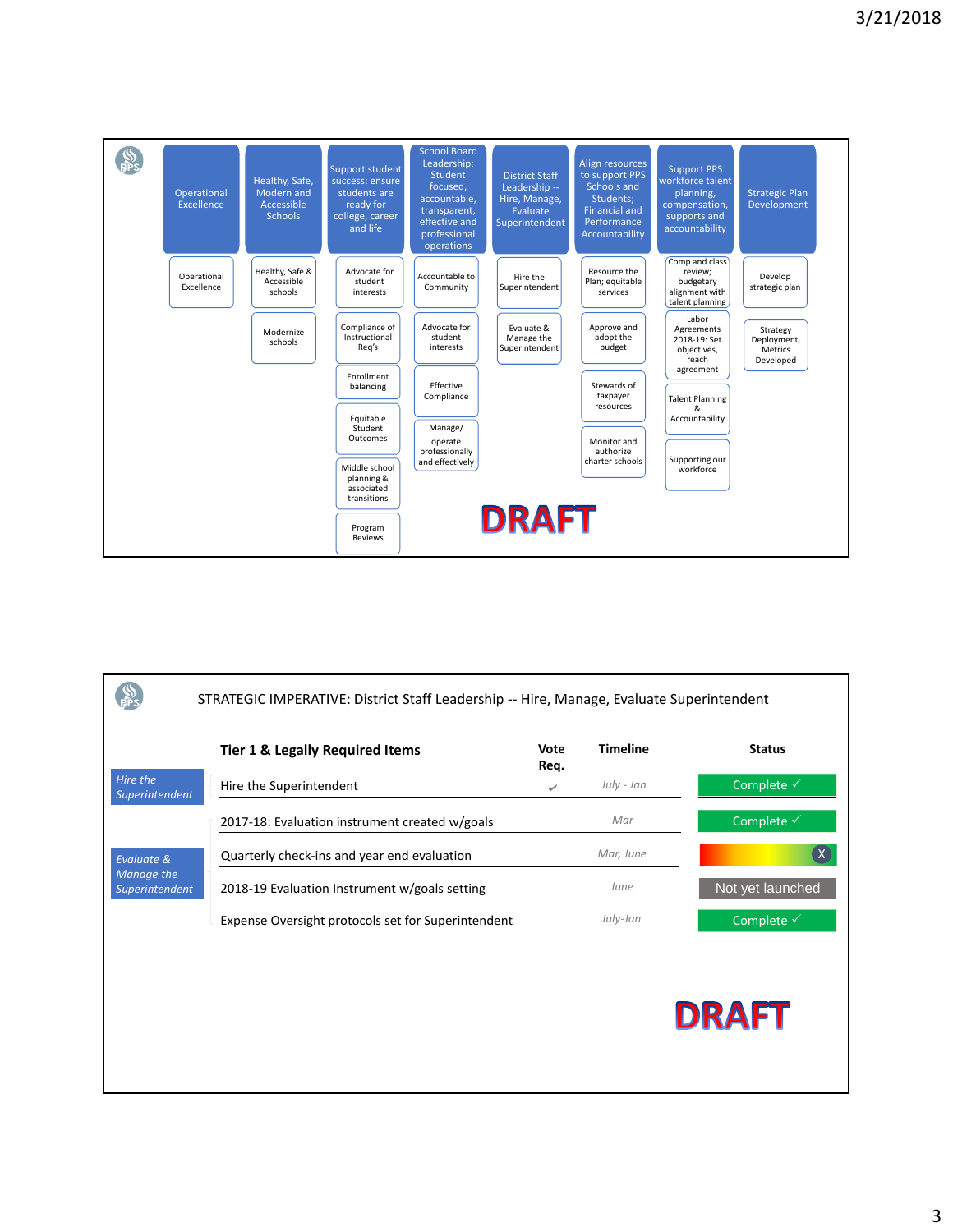

|                              | STRATEGIC IMPERATIVE: District Staff Leadership -- Hire, Manage, Evaluate Superintendent |              |                 |                       |
|------------------------------|------------------------------------------------------------------------------------------|--------------|-----------------|-----------------------|
|                              | <b>Tier 1 &amp; Legally Required Items</b>                                               | Vote<br>Req. | <b>Timeline</b> | <b>Status</b>         |
| Hire the<br>Superintendent   | Hire the Superintendent                                                                  | ✓            | July - Jan      | Complete √            |
|                              | 2017-18: Evaluation instrument created w/goals                                           |              | Mar             | Complete √            |
| Evaluate &                   | Quarterly check-ins and year end evaluation                                              |              | Mar, June       |                       |
| Manage the<br>Superintendent | 2018-19 Evaluation Instrument w/goals setting                                            |              | June            | Not yet launched      |
|                              | Expense Oversight protocols set for Superintendent                                       |              | July-Jan        | Complete $\checkmark$ |
|                              |                                                                                          |              |                 |                       |
|                              |                                                                                          |              |                 | <b>DRAFT</b>          |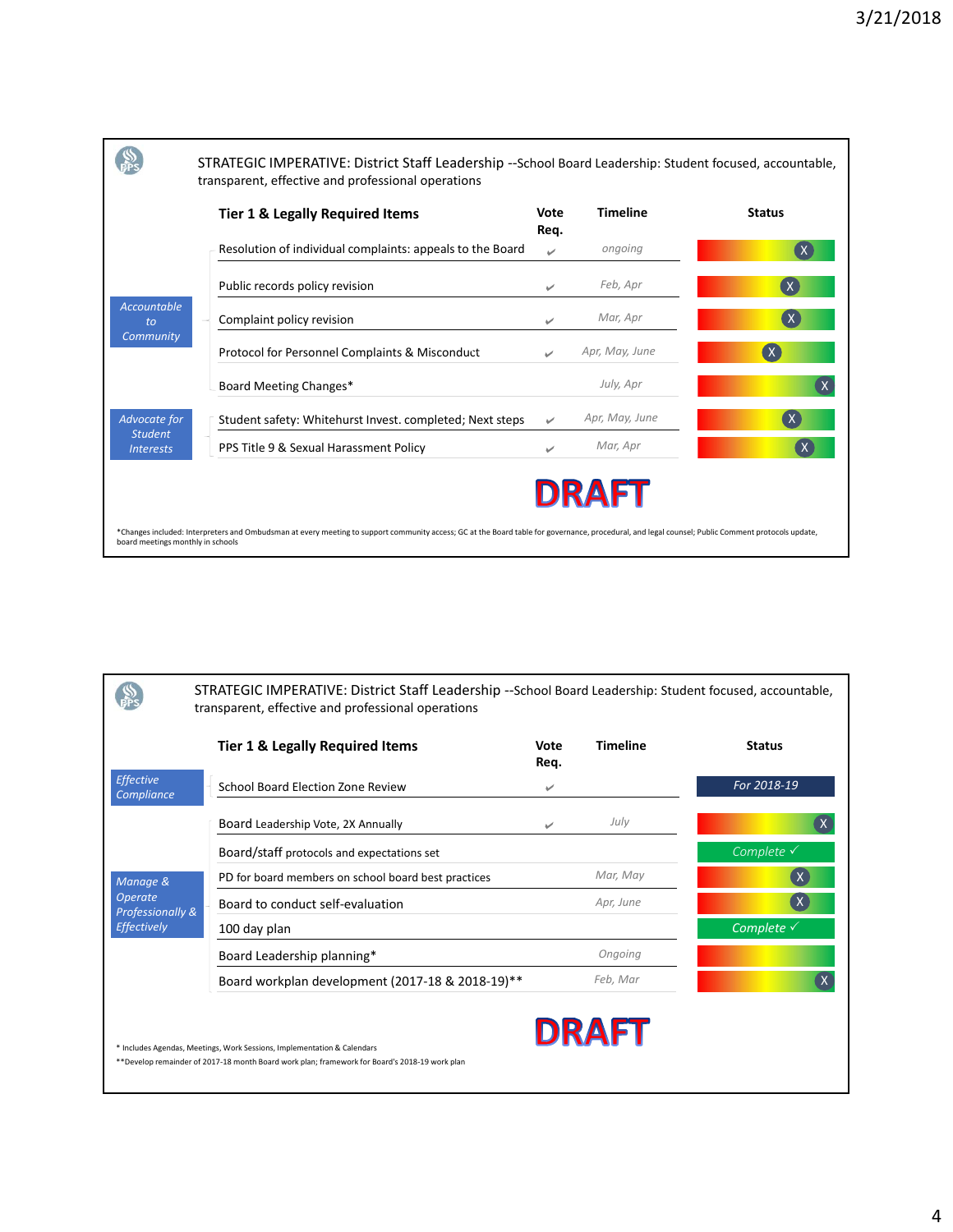

|                                       | STRATEGIC IMPERATIVE: District Staff Leadership -- School Board Leadership: Student focused, accountable,<br>transparent, effective and professional operations          |              |                 |                       |
|---------------------------------------|--------------------------------------------------------------------------------------------------------------------------------------------------------------------------|--------------|-----------------|-----------------------|
|                                       | <b>Tier 1 &amp; Legally Required Items</b>                                                                                                                               | Vote<br>Req. | <b>Timeline</b> | <b>Status</b>         |
| <b>Effective</b><br><b>Compliance</b> | School Board Election Zone Review                                                                                                                                        | ✓            |                 | For 2018-19           |
|                                       | Board Leadership Vote, 2X Annually                                                                                                                                       | ✓            | July            | $\mathsf{x}$          |
|                                       | Board/staff protocols and expectations set                                                                                                                               |              |                 | Complete $\checkmark$ |
| Manage &                              | PD for board members on school board best practices                                                                                                                      |              | Mar, May        | X                     |
| <b>Operate</b><br>Professionally &    | Board to conduct self-evaluation                                                                                                                                         |              | Apr, June       | $\mathsf{X}$          |
| Effectively                           | 100 day plan                                                                                                                                                             |              |                 | Complete $\checkmark$ |
|                                       | Board Leadership planning*                                                                                                                                               |              | Ongoing         |                       |
|                                       | Board workplan development (2017-18 & 2018-19)**                                                                                                                         |              | Feb, Mar        |                       |
|                                       | * Includes Agendas, Meetings, Work Sessions, Implementation & Calendars<br>**Develop remainder of 2017-18 month Board work plan; framework for Board's 2018-19 work plan |              | <b>DRAFT</b>    |                       |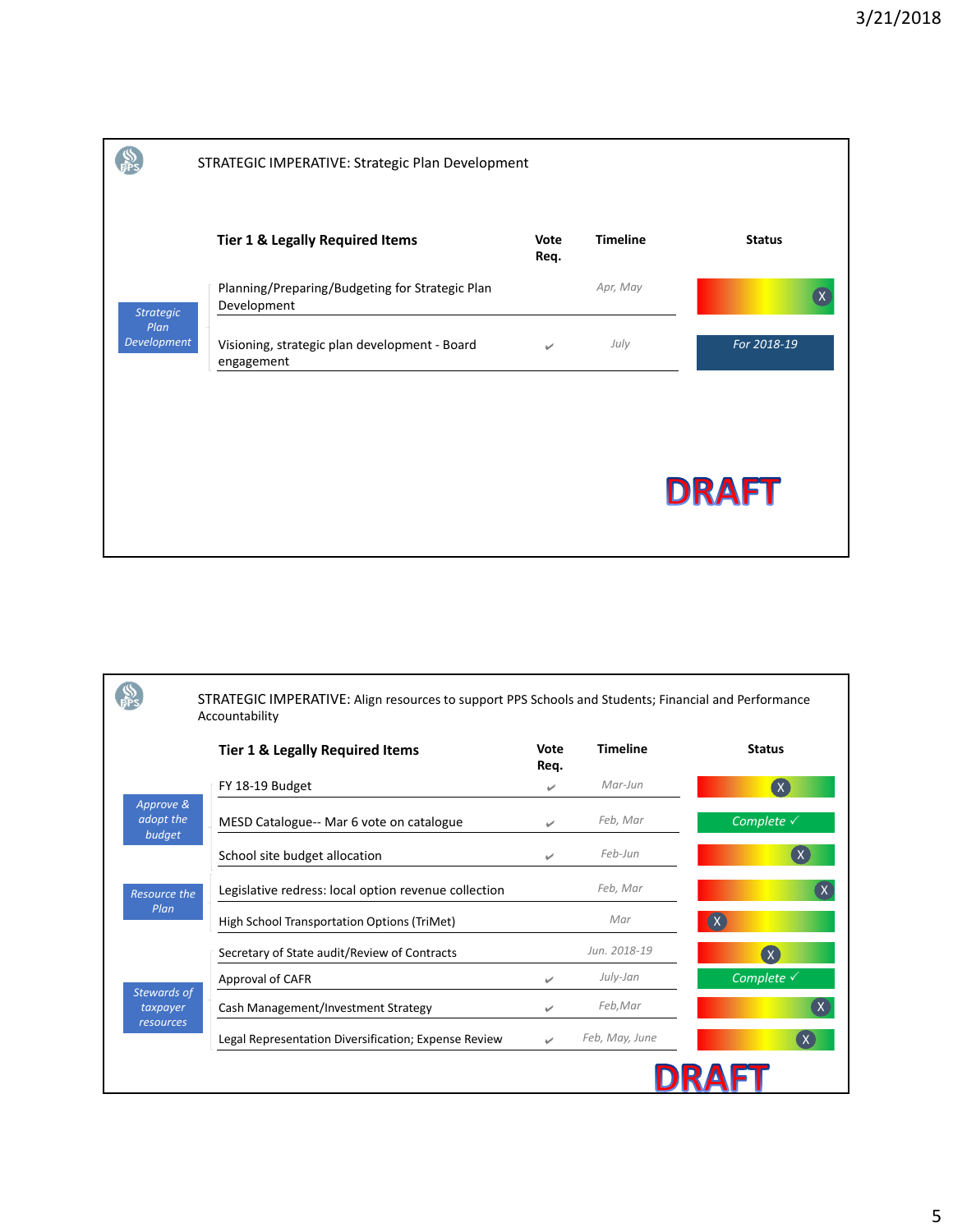|                     | STRATEGIC IMPERATIVE: Strategic Plan Development               |              |                 |               |
|---------------------|----------------------------------------------------------------|--------------|-----------------|---------------|
|                     | <b>Tier 1 &amp; Legally Required Items</b>                     | Vote<br>Req. | <b>Timeline</b> | <b>Status</b> |
| <b>Strategic</b>    | Planning/Preparing/Budgeting for Strategic Plan<br>Development |              | Apr, May        |               |
| Plan<br>Development | Visioning, strategic plan development - Board<br>engagement    | $\checkmark$ | July            | For 2018-19   |
|                     |                                                                |              |                 |               |
|                     |                                                                |              |                 | <b>DRAFT</b>  |

|                                             | STRATEGIC IMPERATIVE: Align resources to support PPS Schools and Students; Financial and Performance<br>Accountability |              |                 |                           |
|---------------------------------------------|------------------------------------------------------------------------------------------------------------------------|--------------|-----------------|---------------------------|
|                                             | <b>Tier 1 &amp; Legally Required Items</b>                                                                             | Vote<br>Reg. | <b>Timeline</b> | <b>Status</b>             |
|                                             | FY 18-19 Budget                                                                                                        | $\checkmark$ | Mar-Jun         | $\overline{(\mathsf{x})}$ |
| Approve &<br>adopt the<br>budget            | MESD Catalogue-- Mar 6 vote on catalogue                                                                               | ✓            | Feb, Mar        | Complete $\checkmark$     |
|                                             | School site budget allocation                                                                                          | ✓            | Feb-Jun         | $\mathsf{X}$              |
| Resource the<br>Plan                        | Legislative redress: local option revenue collection                                                                   |              | Feb, Mar        |                           |
|                                             | High School Transportation Options (TriMet)                                                                            |              | Mar             | (x)                       |
|                                             | Secretary of State audit/Review of Contracts                                                                           |              | Jun. 2018-19    | $\overline{(\mathsf{x})}$ |
|                                             | Approval of CAFR                                                                                                       | بمنا         | July-Jan        | Complete $\checkmark$     |
| <b>Stewards of</b><br>taxpayer<br>resources | Cash Management/Investment Strategy                                                                                    |              | Feb, Mar        |                           |
|                                             | Legal Representation Diversification; Expense Review                                                                   | ✓            | Feb, May, June  | $^{\prime}$ X             |
|                                             |                                                                                                                        |              |                 |                           |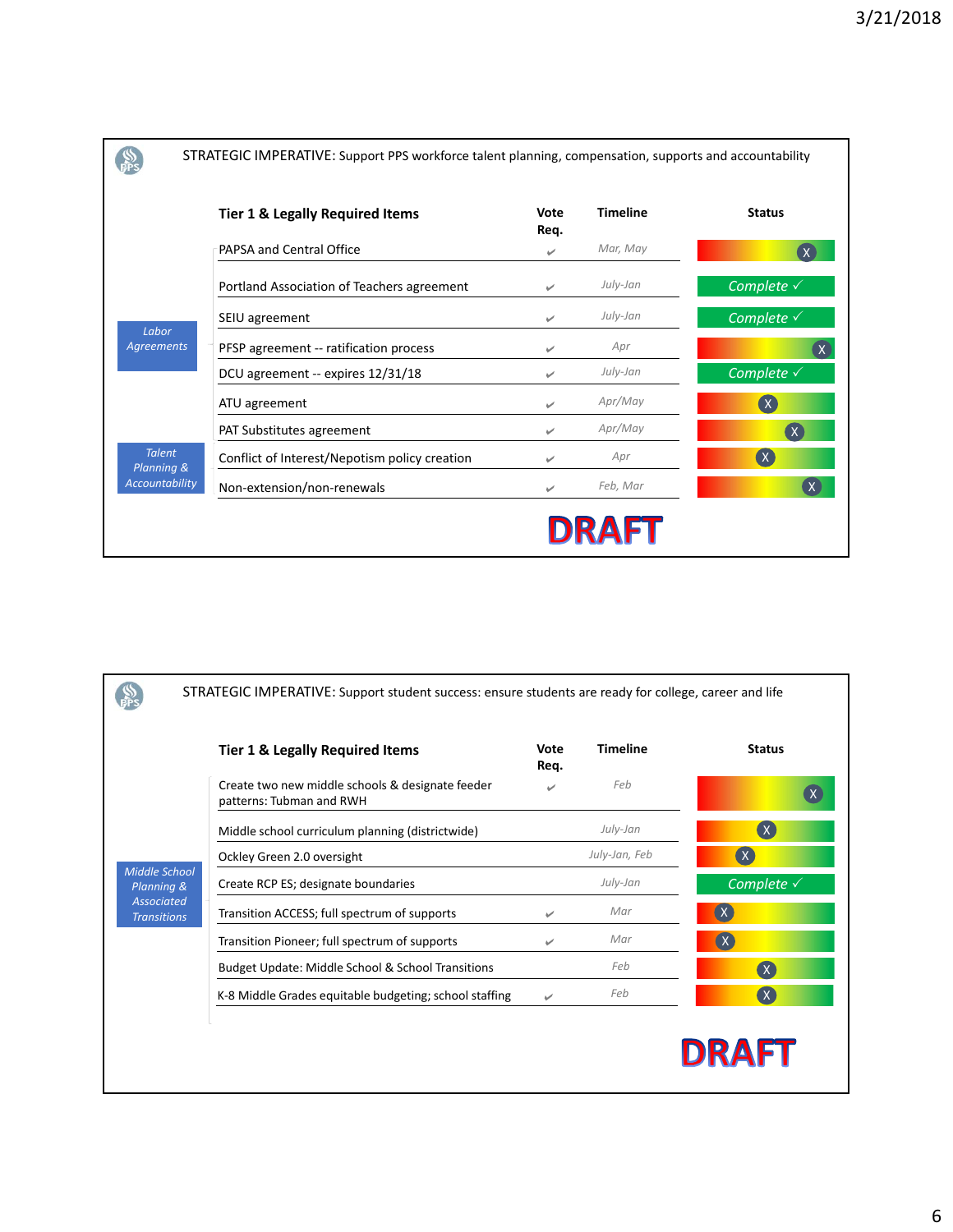|                             | STRATEGIC IMPERATIVE: Support PPS workforce talent planning, compensation, supports and accountability |              |                 |                           |
|-----------------------------|--------------------------------------------------------------------------------------------------------|--------------|-----------------|---------------------------|
|                             | <b>Tier 1 &amp; Legally Required Items</b>                                                             | Vote<br>Reg. | <b>Timeline</b> | <b>Status</b>             |
|                             | PAPSA and Central Office                                                                               | ✓            | Mar, May        |                           |
|                             | Portland Association of Teachers agreement                                                             | ✓            | July-Jan        | Complete $\checkmark$     |
| Labor                       | SEIU agreement                                                                                         | $\checkmark$ | July-Jan        | Complete $\checkmark$     |
| <b>Agreements</b>           | PFSP agreement -- ratification process                                                                 |              | Apr             |                           |
|                             | DCU agreement -- expires 12/31/18                                                                      | $\checkmark$ | July-Jan        | Complete $\checkmark$     |
|                             | ATU agreement                                                                                          | ✓            | Apr/May         | $(\mathsf{X})$            |
|                             | PAT Substitutes agreement                                                                              | $\checkmark$ | Apr/May         | $\mathbf{X}$              |
| <b>Talent</b><br>Planning & | Conflict of Interest/Nepotism policy creation                                                          | ✓            | Apr             | $\overline{(\mathsf{x})}$ |
| <b>Accountability</b>       | Non-extension/non-renewals                                                                             | ✓            | Feb, Mar        |                           |
|                             |                                                                                                        |              | <b>DRAFT</b>    |                           |

|                                         | <b>Tier 1 &amp; Legally Required Items</b>                                   | Vote<br>Reg. | <b>Timeline</b> | <b>Status</b>         |
|-----------------------------------------|------------------------------------------------------------------------------|--------------|-----------------|-----------------------|
|                                         | Create two new middle schools & designate feeder<br>patterns: Tubman and RWH |              | Feb             |                       |
|                                         | Middle school curriculum planning (districtwide)                             |              | July-Jan        | $(\mathsf{X})$        |
|                                         | Ockley Green 2.0 oversight                                                   |              | July-Jan, Feb   | (X)                   |
| Middle School<br>Planning &             | Create RCP ES; designate boundaries                                          |              | July-Jan        | Complete $\checkmark$ |
| <b>Associated</b><br><b>Transitions</b> | Transition ACCESS; full spectrum of supports                                 | ✓            | Mar             | (X)                   |
|                                         | Transition Pioneer; full spectrum of supports                                | ✓            | Mar             | (x)                   |
|                                         | Budget Update: Middle School & School Transitions                            |              | Feb             | $\mathbf{x}$          |
|                                         | K-8 Middle Grades equitable budgeting; school staffing                       | $\checkmark$ | Feb             | $(\mathsf{X})$        |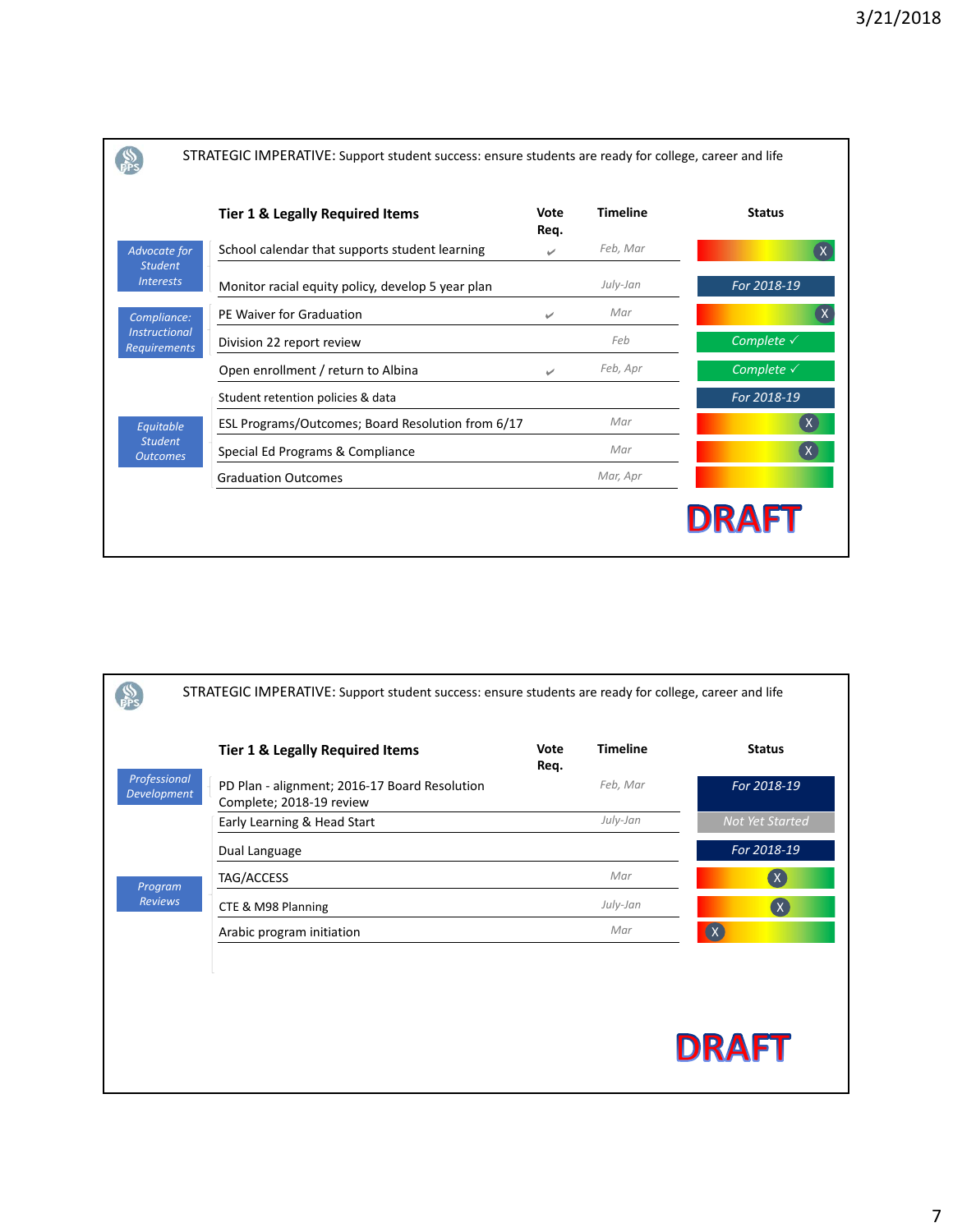|                                             | Tier 1 & Legally Required Items                   | Vote<br>Req. | <b>Timeline</b> | <b>Status</b>         |
|---------------------------------------------|---------------------------------------------------|--------------|-----------------|-----------------------|
| Advocate for                                | School calendar that supports student learning    | ✓            | Feb, Mar        |                       |
| <b>Student</b><br><b>Interests</b>          | Monitor racial equity policy, develop 5 year plan |              | July-Jan        | For 2018-19           |
| Compliance:                                 | PE Waiver for Graduation                          | ✓            | Mar             |                       |
| <b>Instructional</b><br><b>Requirements</b> | Division 22 report review                         |              | Feb             | Complete $\checkmark$ |
|                                             | Open enrollment / return to Albina                | ✓            | Feb, Apr        | Complete $\checkmark$ |
|                                             | Student retention policies & data                 |              |                 | For 2018-19           |
| Equitable                                   | ESL Programs/Outcomes; Board Resolution from 6/17 |              | Mar             |                       |
| <b>Student</b><br><b>Outcomes</b>           | Special Ed Programs & Compliance                  |              | Mar             | $\mathsf{X}$          |
|                                             | <b>Graduation Outcomes</b>                        |              | Mar, Apr        |                       |

|                                    | STRATEGIC IMPERATIVE: Support student success: ensure students are ready for college, career and life |              |                 |                 |
|------------------------------------|-------------------------------------------------------------------------------------------------------|--------------|-----------------|-----------------|
|                                    | Tier 1 & Legally Required Items                                                                       | Vote<br>Req. | <b>Timeline</b> | <b>Status</b>   |
| Professional<br><b>Development</b> | PD Plan - alignment; 2016-17 Board Resolution                                                         |              | Feb, Mar        | For 2018-19     |
|                                    | Complete; 2018-19 review<br>Early Learning & Head Start                                               |              | July-Jan        | Not Yet Started |
|                                    | Dual Language                                                                                         |              |                 | For 2018-19     |
| Program                            | TAG/ACCESS                                                                                            |              | Mar             | $\infty$        |
| <b>Reviews</b>                     | CTE & M98 Planning                                                                                    |              | July-Jan        | $\mathbf{x}$    |
|                                    | Arabic program initiation                                                                             |              | Mar             | $\alpha$        |
|                                    |                                                                                                       |              |                 |                 |
|                                    |                                                                                                       |              |                 |                 |
|                                    |                                                                                                       |              |                 |                 |
|                                    |                                                                                                       |              |                 | <b>DRAFT</b>    |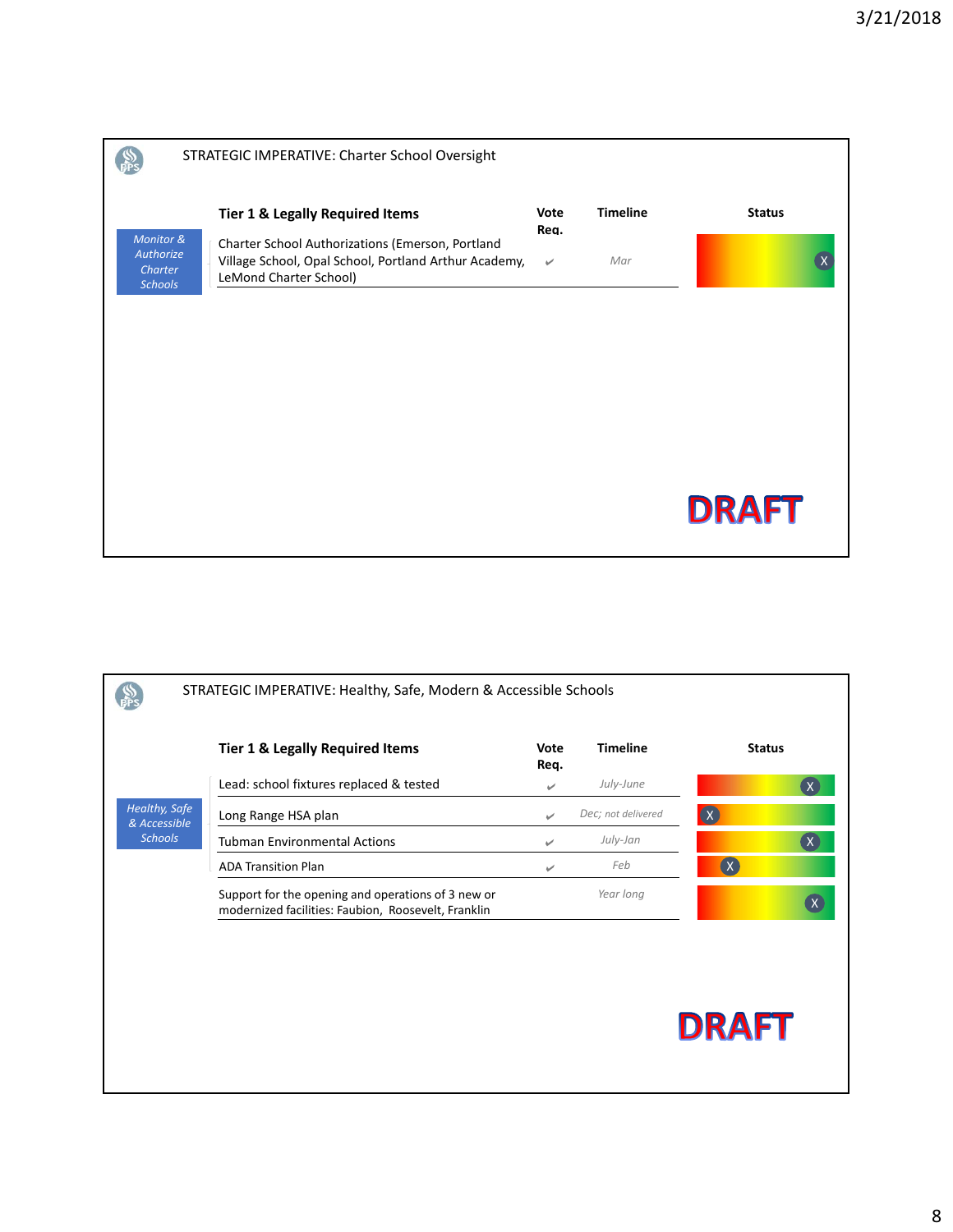|                                                            | STRATEGIC IMPERATIVE: Charter School Oversight                                                                                                                                    |                              |                        |               |
|------------------------------------------------------------|-----------------------------------------------------------------------------------------------------------------------------------------------------------------------------------|------------------------------|------------------------|---------------|
| Monitor &<br>Authorize<br><b>Charter</b><br><b>Schools</b> | <b>Tier 1 &amp; Legally Required Items</b><br>Charter School Authorizations (Emerson, Portland<br>Village School, Opal School, Portland Arthur Academy,<br>LeMond Charter School) | Vote<br>Rea.<br>$\checkmark$ | <b>Timeline</b><br>Mar | <b>Status</b> |
|                                                            |                                                                                                                                                                                   |                              |                        | <b>DRAFT</b>  |

|                               | STRATEGIC IMPERATIVE: Healthy, Safe, Modern & Accessible Schools                                          |              |                    |                            |
|-------------------------------|-----------------------------------------------------------------------------------------------------------|--------------|--------------------|----------------------------|
|                               | <b>Tier 1 &amp; Legally Required Items</b>                                                                | Vote<br>Req. | <b>Timeline</b>    | <b>Status</b>              |
|                               | Lead: school fixtures replaced & tested                                                                   | $\checkmark$ | July-June          | $\mathsf{X}$               |
| Healthy, Safe<br>& Accessible | Long Range HSA plan                                                                                       | $\checkmark$ | Dec; not delivered | $\left( \chi \right)$      |
| <b>Schools</b>                | <b>Tubman Environmental Actions</b>                                                                       | $\checkmark$ | July-Jan           | $\mathsf{X}$               |
|                               | <b>ADA Transition Plan</b>                                                                                | ✓            | Feb                | $\left( \mathbf{X}\right)$ |
|                               | Support for the opening and operations of 3 new or<br>modernized facilities: Faubion, Roosevelt, Franklin |              | Year long          |                            |
|                               |                                                                                                           |              |                    |                            |
|                               |                                                                                                           |              |                    |                            |
|                               |                                                                                                           |              |                    |                            |
|                               |                                                                                                           |              |                    | <b>DRAFT</b>               |
|                               |                                                                                                           |              |                    |                            |
|                               |                                                                                                           |              |                    |                            |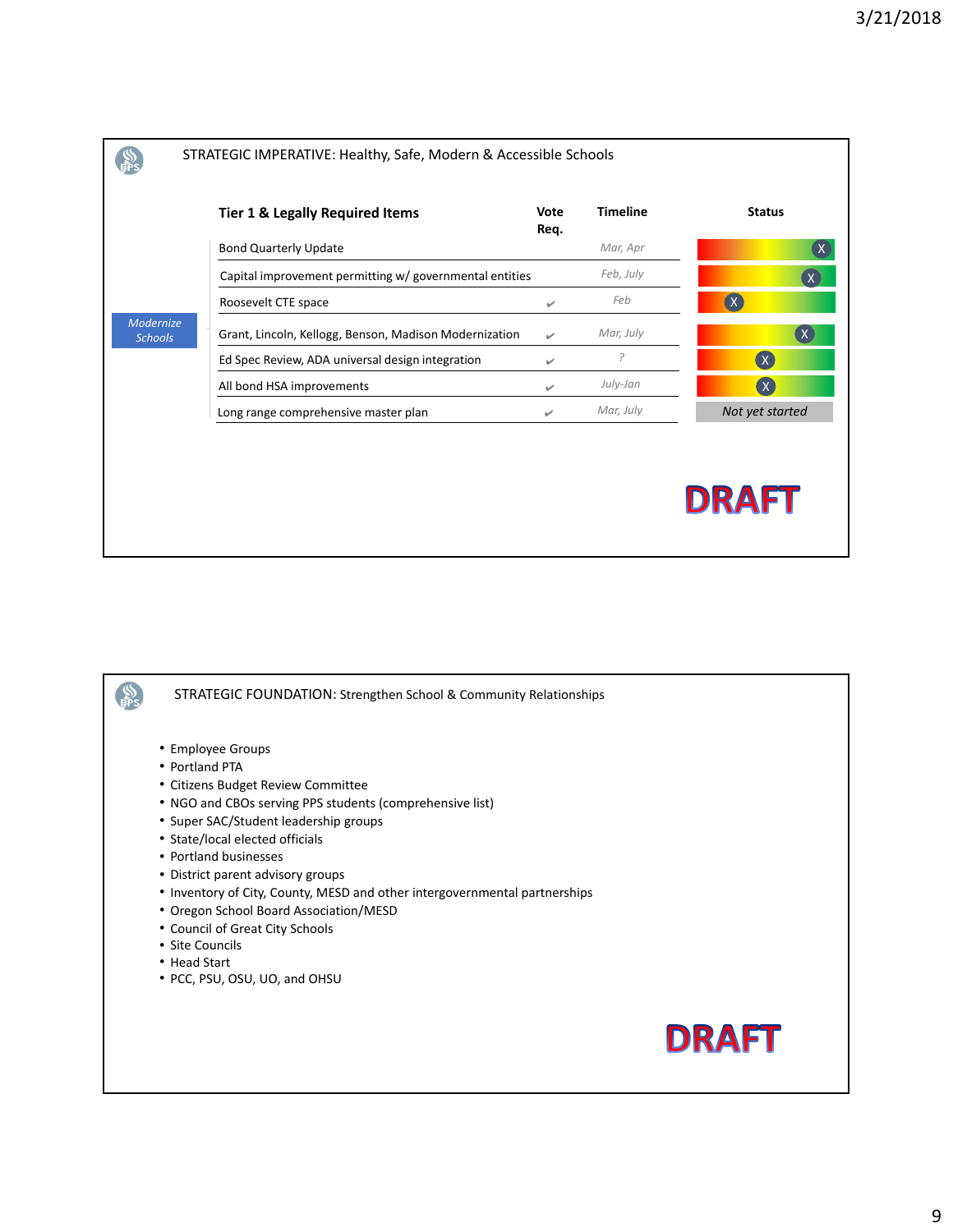|                             | <b>Tier 1 &amp; Legally Required Items</b>              | Vote<br>Req. | <b>Timeline</b> | <b>Status</b>             |
|-----------------------------|---------------------------------------------------------|--------------|-----------------|---------------------------|
|                             | <b>Bond Quarterly Update</b>                            |              | Mar, Apr        |                           |
|                             | Capital improvement permitting w/ governmental entities |              | Feb, July       |                           |
|                             | Roosevelt CTE space                                     | ✓            | Feb             | $\alpha$                  |
| Modernize<br><b>Schools</b> | Grant, Lincoln, Kellogg, Benson, Madison Modernization  | ے            | Mar, July       |                           |
|                             | Ed Spec Review, ADA universal design integration        | ✓            | ?               | $\left( \chi \right)$     |
|                             | All bond HSA improvements                               | ✓            | July-Jan        | $\overline{(\mathsf{x})}$ |
|                             | Long range comprehensive master plan                    | ৶            | Mar, July       | Not yet started           |

 $\frac{SS}{PPS}$ STRATEGIC FOUNDATION: Strengthen School & Community Relationships• Employee Groups • Portland PTA • Citizens Budget Review Committee • NGO and CBOs serving PPS students (comprehensive list) • Super SAC/Student leadership groups • State/local elected officials • Portland businesses • District parent advisory groups • Inventory of City, County, MESD and other intergovernmental partnerships • Oregon School Board Association/MESD • Council of Great City Schools • Site Councils • Head Start • PCC, PSU, OSU, UO, and OHSU **DRAFT**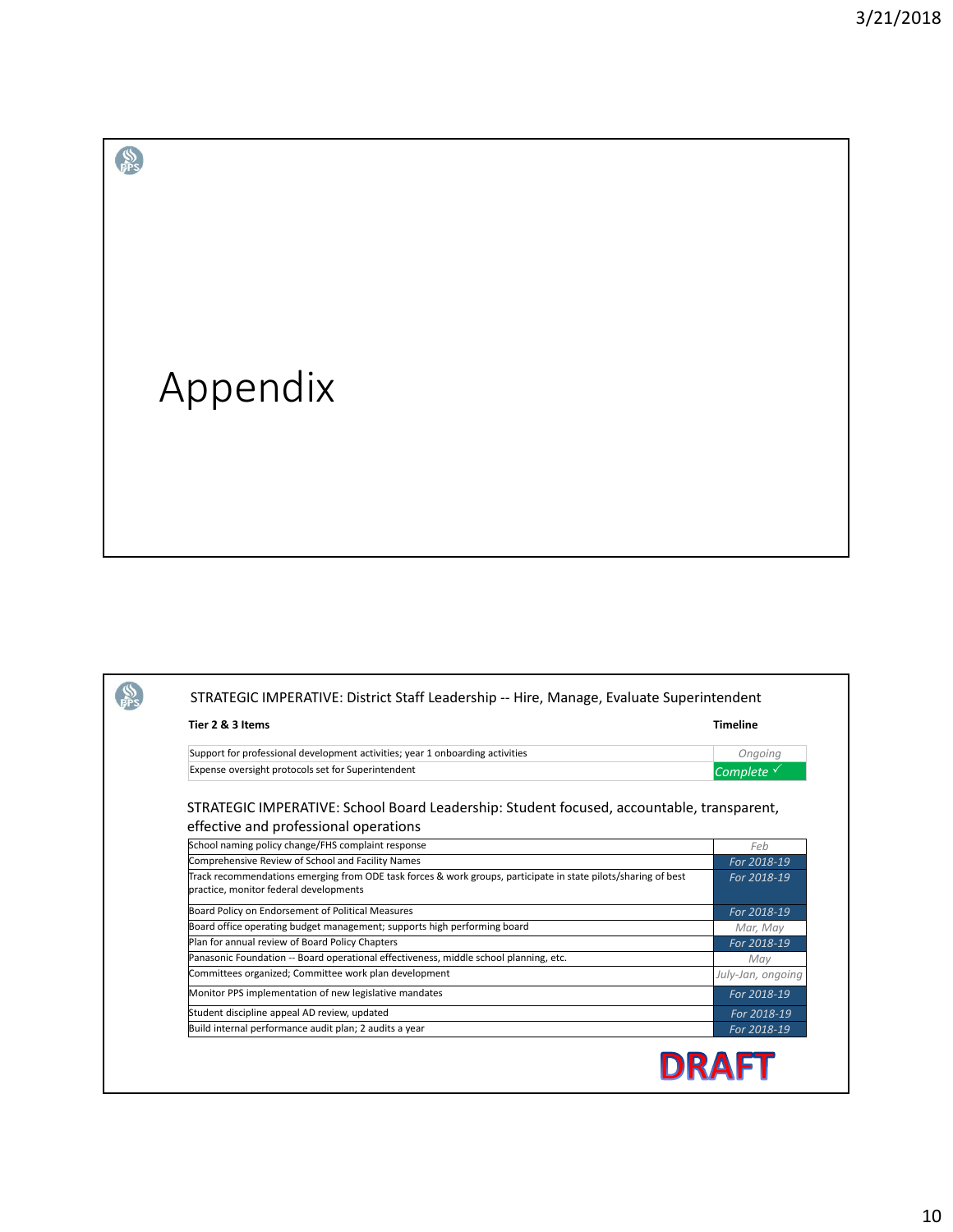## Appendix

 $\frac{1}{\frac{1}{11}}$ 

| Tier 2 & 3 Items                                                                                                                                         | <b>Timeline</b>   |
|----------------------------------------------------------------------------------------------------------------------------------------------------------|-------------------|
| Support for professional development activities; year 1 onboarding activities                                                                            | Ongoing           |
| Expense oversight protocols set for Superintendent                                                                                                       | Complete v        |
| STRATEGIC IMPERATIVE: School Board Leadership: Student focused, accountable, transparent,<br>effective and professional operations                       |                   |
| School naming policy change/FHS complaint response                                                                                                       | Feb               |
| Comprehensive Review of School and Facility Names                                                                                                        | For 2018-19       |
| Track recommendations emerging from ODE task forces & work groups, participate in state pilots/sharing of best<br>practice, monitor federal developments | For 2018-19       |
| Board Policy on Endorsement of Political Measures                                                                                                        | For 2018-19       |
| Board office operating budget management; supports high performing board                                                                                 | Mar, May          |
| Plan for annual review of Board Policy Chapters                                                                                                          | For 2018-19       |
| Panasonic Foundation -- Board operational effectiveness, middle school planning, etc.                                                                    | May               |
| Committees organized; Committee work plan development                                                                                                    | July-Jan, ongoing |
| Monitor PPS implementation of new legislative mandates                                                                                                   | For 2018-19       |
| Student discipline appeal AD review, updated                                                                                                             | For 2018-19       |
| Build internal performance audit plan; 2 audits a year                                                                                                   | For 2018-19       |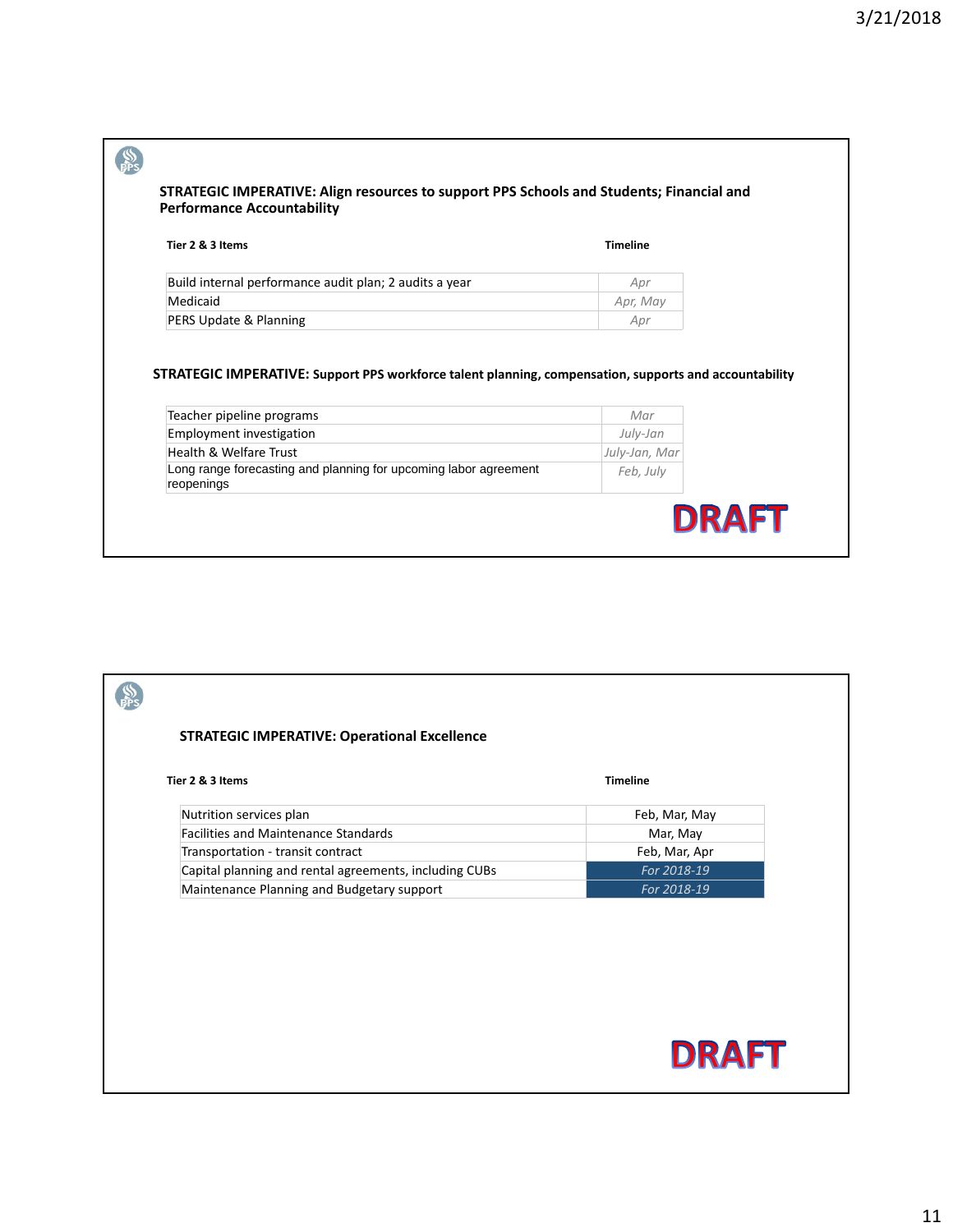| Tier 2 & 3 Items                                                                                                                 | <b>Timeline</b> |
|----------------------------------------------------------------------------------------------------------------------------------|-----------------|
| Build internal performance audit plan; 2 audits a year                                                                           | Apr             |
| Medicaid                                                                                                                         | Apr, May        |
|                                                                                                                                  | Apr             |
| PERS Update & Planning<br>STRATEGIC IMPERATIVE: Support PPS workforce talent planning, compensation, supports and accountability |                 |
|                                                                                                                                  | Mar             |
|                                                                                                                                  | July-Jan        |
| Teacher pipeline programs<br>Employment investigation<br>Health & Welfare Trust                                                  | July-Jan, Mar   |

| <b>STRATEGIC IMPERATIVE: Operational Excellence</b>    |                 |  |
|--------------------------------------------------------|-----------------|--|
| Tier 2 & 3 Items                                       | <b>Timeline</b> |  |
| Nutrition services plan                                | Feb, Mar, May   |  |
| <b>Facilities and Maintenance Standards</b>            | Mar, May        |  |
| Transportation - transit contract                      | Feb, Mar, Apr   |  |
| Capital planning and rental agreements, including CUBs | For 2018-19     |  |
| Maintenance Planning and Budgetary support             | For 2018-19     |  |
|                                                        |                 |  |
|                                                        | <b>DRAFT</b>    |  |